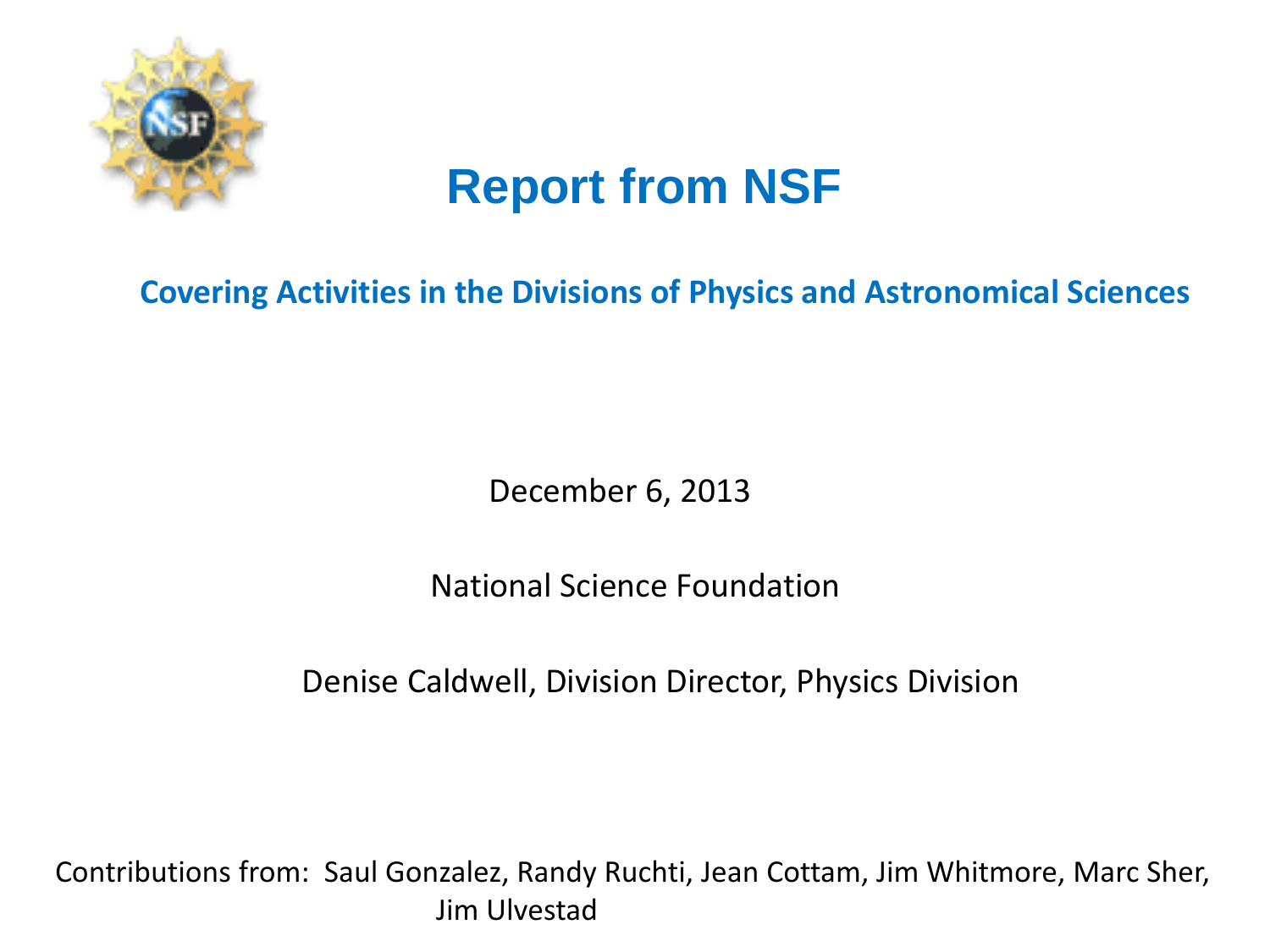

# **Report from NSF**

### **Covering Activities in the Divisions of Physics and Astronomical Sciences**

December 6, 2013

National Science Foundation

Denise Caldwell, Division Director, Physics Division

Contributions from: Saul Gonzalez, Randy Ruchti, Jean Cottam, Jim Whitmore, Marc Sher, Jim Ulvestad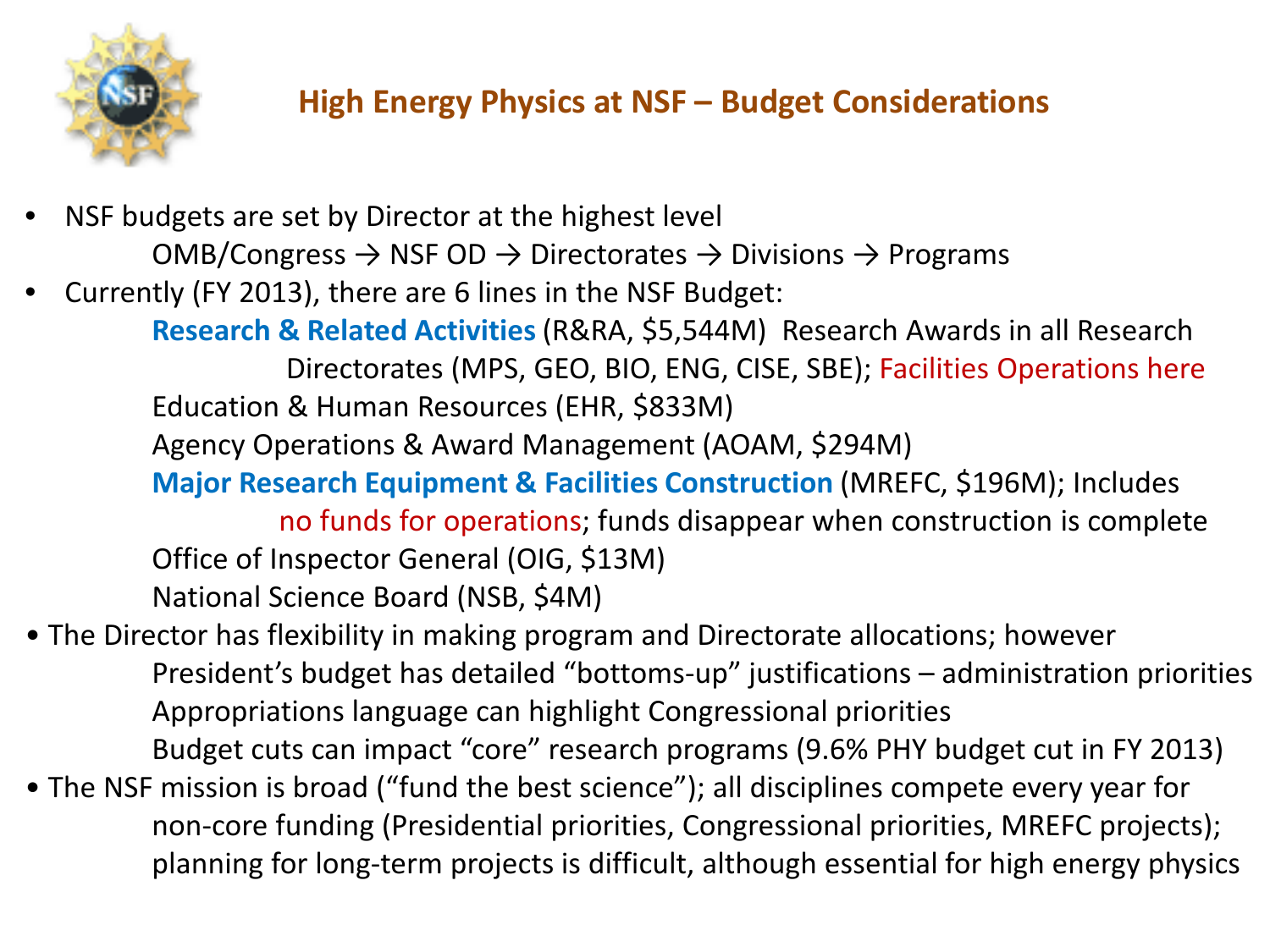

## **High Energy Physics at NSF – Budget Considerations**

- NSF budgets are set by Director at the highest level OMB/Congress  $\rightarrow$  NSF OD  $\rightarrow$  Directorates  $\rightarrow$  Divisions  $\rightarrow$  Programs
- Currently (FY 2013), there are 6 lines in the NSF Budget:
	- **Research & Related Activities**(R&RA, \$5,544M) Research Awards in all Research Directorates (MPS, GEO, BIO, ENG, CISE, SBE); Facilities Operations here Education & Human Resources (EHR, \$833M)
	- Agency Operations & Award Management (AOAM, \$294M)
	- **Major Research Equipment & Facilities Construction** (MREFC, \$196M); Includes

no funds for operations; funds disappear when construction is complete Office of Inspector General (OIG, \$13M) National Science Board (NSB, \$4M)

- The Director has flexibility in making program and Directorate allocations; however President's budget has detailed "bottoms-up" justifications – administration priorities Appropriations language can highlight Congressional priorities Budget cuts can impact "core" research programs (9.6% PHY budget cut in FY 2013)
- The NSF mission is broad ("fund the best science"); all disciplines compete every year for non-core funding (Presidential priorities, Congressional priorities, MREFC projects); planning for long-term projects is difficult, although essential for high energy physics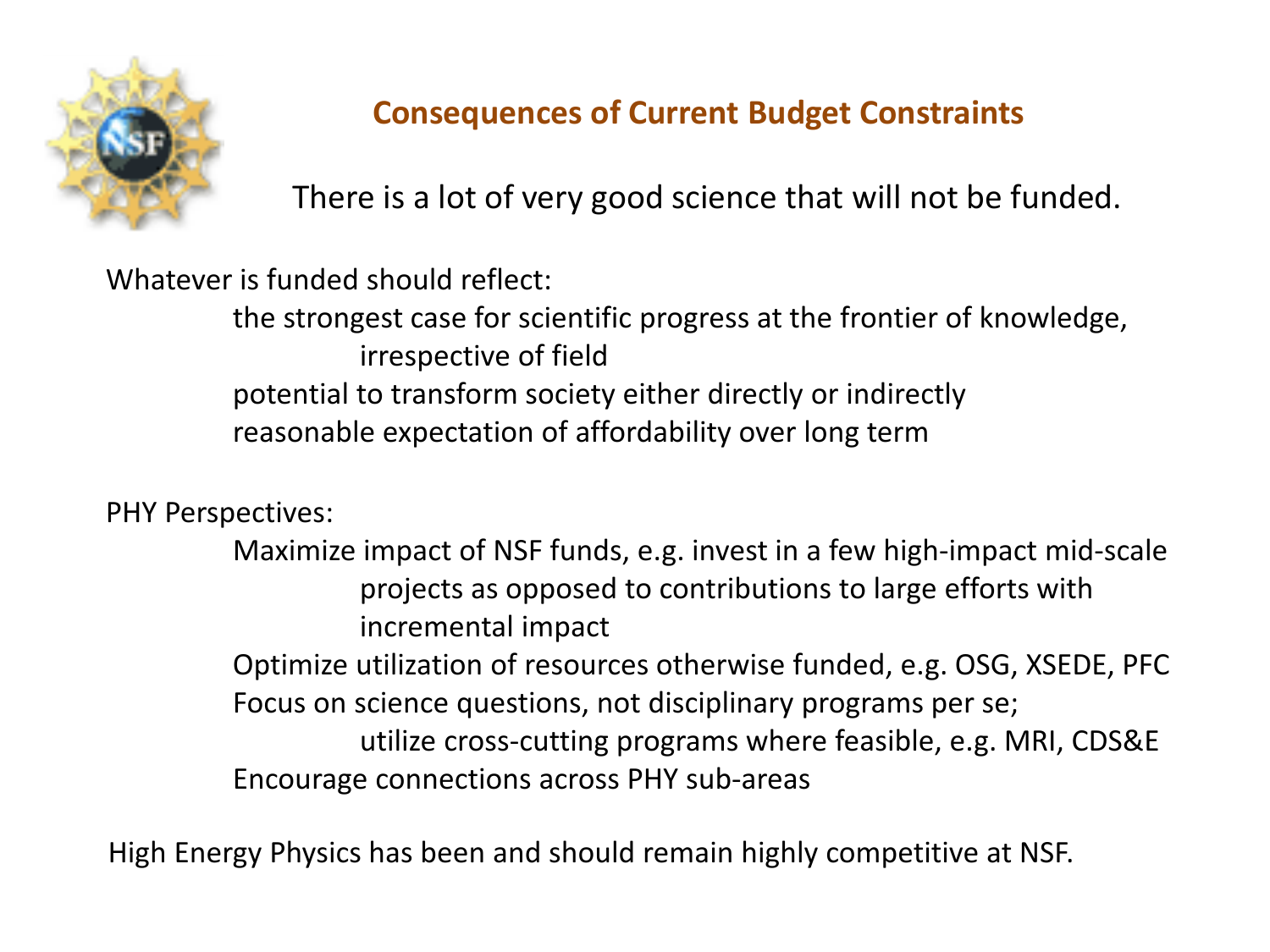

### **Consequences of Current Budget Constraints**

There is a lot of very good science that will not be funded.

Whatever is funded should reflect:

the strongest case for scientific progress at the frontier of knowledge, irrespective of field potential to transform society either directly or indirectly reasonable expectation of affordability over long term

PHY Perspectives:

Maximize impact of NSF funds, e.g. invest in a few high-impact mid-scale projects as opposed to contributions to large efforts with incremental impact Optimize utilization of resources otherwise funded, e.g. OSG, XSEDE, PFC Focus on science questions, not disciplinary programs per se; utilize cross-cutting programs where feasible, e.g. MRI, CDS&E Encourage connections across PHY sub-areas

High Energy Physics has been and should remain highly competitive at NSF.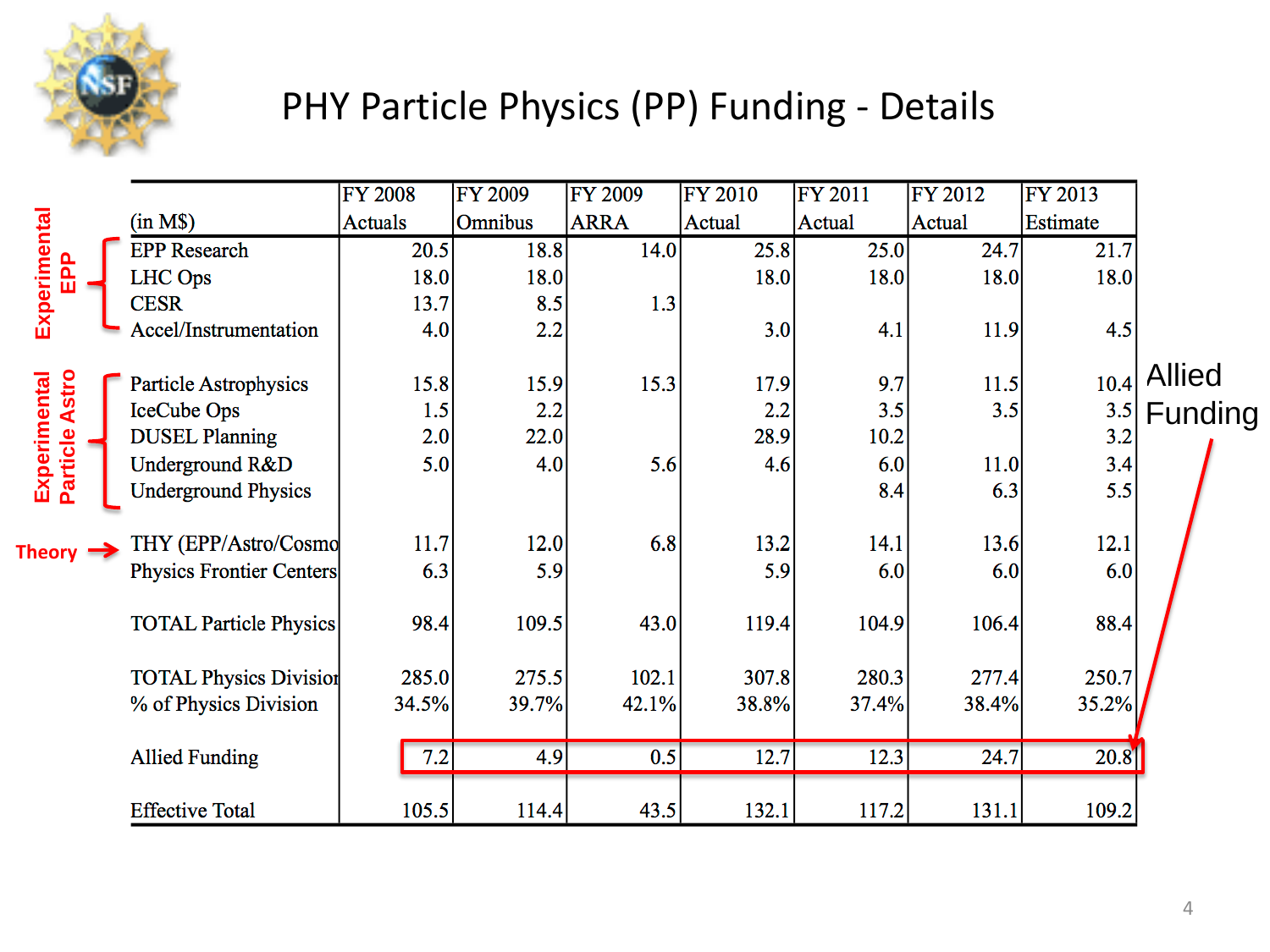

# PHY Particle Physics (PP) Funding - Details

|                                |                                 | <b>FY 2008</b> | <b>FY 2009</b> | <b>FY 2009</b> | <b>FY 2010</b> | <b>FY 2011</b> | FY 2012 | FY 2013  |               |
|--------------------------------|---------------------------------|----------------|----------------|----------------|----------------|----------------|---------|----------|---------------|
| Experimental<br>욘              | (in M\$)                        | Actuals        | <b>Omnibus</b> | <b>ARRA</b>    | Actual         | Actual         | Actual  | Estimate |               |
|                                | <b>EPP Research</b>             | 20.5           | 18.8           | 14.0           | 25.8           | 25.0           | 24.7    | 21.7     |               |
|                                | <b>LHC</b> Ops                  | 18.0           | 18.0           |                | 18.0           | 18.0           | 18.0    | 18.0     |               |
|                                | <b>CESR</b>                     | 13.7           | 8.5            | 1.3            |                |                |         |          |               |
|                                | Accel/Instrumentation           | 4.0            | 2.2            |                | 3.0            | 4.1            | 11.9    | 4.5      |               |
|                                |                                 |                |                |                |                |                |         |          | <b>Allied</b> |
| Experimental<br>Particle Astro | <b>Particle Astrophysics</b>    | 15.8           | 15.9           | 15.3           | 17.9           | 9.7            | 11.5    | 10.4     |               |
|                                | IceCube Ops                     | 1.5            | 2.2            |                | 2.2            | 3.5            | 3.5     | 3.5      | Funding       |
|                                | <b>DUSEL Planning</b>           | 2.0            | 22.0           |                | 28.9           | 10.2           |         | 3.2      |               |
|                                | Underground R&D                 | 5.0            | 4.0            | 5.6            | 4.6            | 6.0            | 11.0    | 3.4      |               |
|                                | <b>Underground Physics</b>      |                |                |                |                | 8.4            | 6.3     | 5.5      |               |
| Theory $\rightarrow$           | THY (EPP/Astro/Cosmo            | 11.7           | 12.0           | 6.8            | 13.2           | 14.1           | 13.6    | 12.1     |               |
|                                | <b>Physics Frontier Centers</b> | 6.3            | 5.9            |                | 5.9            | 6.0            | 6.0     | 6.0      |               |
|                                | <b>TOTAL Particle Physics</b>   | 98.4           | 109.5          | 43.0           | 119.4          | 104.9          | 106.4   | 88.4     |               |
|                                | <b>TOTAL Physics Division</b>   | 285.0          | 275.5          | 102.1          | 307.8          | 280.3          | 277.4   | 250.7    |               |
|                                | % of Physics Division           | 34.5%          | 39.7%          | 42.1%          | 38.8%          | 37.4%          | 38.4%   | 35.2%    |               |
|                                | <b>Allied Funding</b>           | 7.2            | 4.9            | 0.5            | 12.7           | 12.3           | 24.7    | 20.8     |               |
|                                | <b>Effective Total</b>          | 105.5          | 114.4          | 43.5           | 132.1          | 117.2          | 131.1   | 109.2    |               |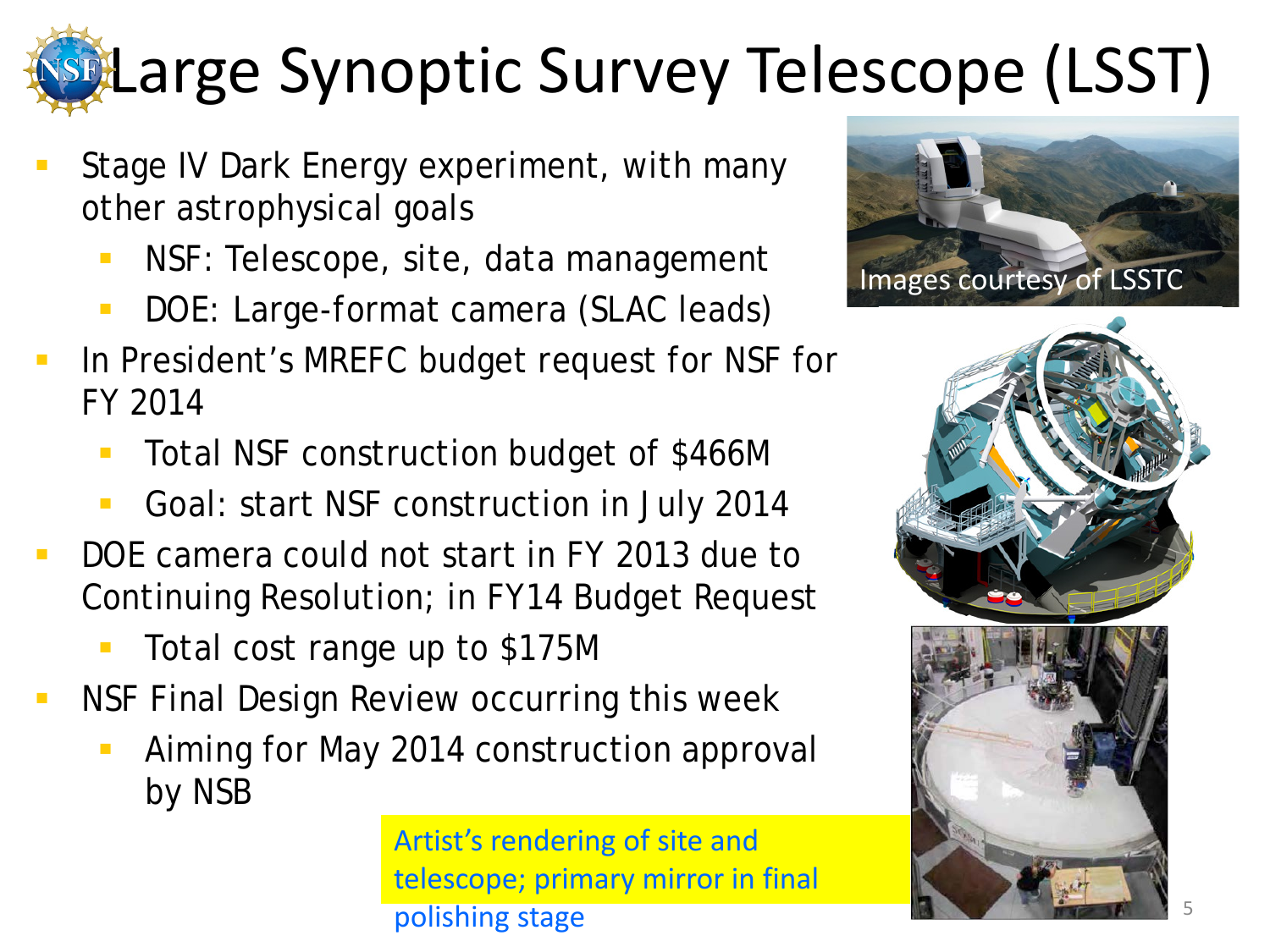# **Stilarge Synoptic Survey Telescope (LSST)**

- Stage IV Dark Energy experiment, with many other astrophysical goals
	- NSF: Telescope, site, data management
	- DOE: Large-format camera (SLAC leads)
- In President's MREFC budget request for NSF for FY 2014
	- Total NSF construction budget of \$466M
	- Goal: start NSF construction in July 2014
- DOE camera could not start in FY 2013 due to Continuing Resolution; in FY14 Budget Request
	- Total cost range up to \$175M
- NSF Final Design Review occurring this week
	- Aiming for May 2014 construction approval by NSB

Artist's rendering of site and telescope; primary mirror in final polishing stage



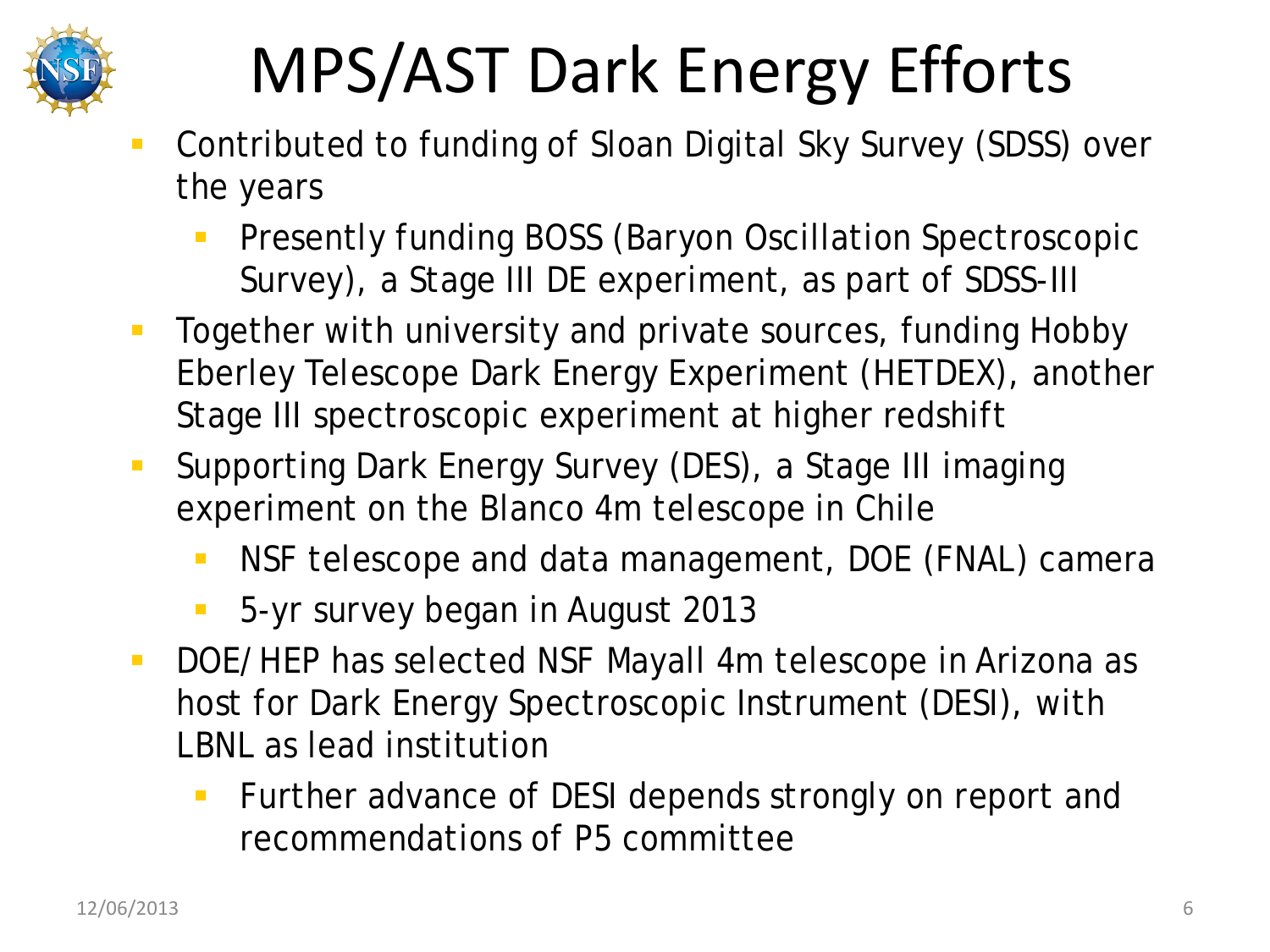

# MPS/AST Dark Energy Efforts

- Contributed to funding of Sloan Digital Sky Survey (SDSS) over the years
	- **Presently funding BOSS (Baryon Oscillation Spectroscopic** Survey), a Stage III DE experiment, as part of SDSS-III
- **Together with university and private sources, funding Hobby** Eberley Telescope Dark Energy Experiment (HETDEX), another Stage III spectroscopic experiment at higher redshift
- **Supporting Dark Energy Survey (DES), a Stage III imaging** experiment on the Blanco 4m telescope in Chile
	- NSF telescope and data management, DOE (FNAL) camera
	- 5-yr survey began in August 2013
- DOE/HEP has selected NSF Mayall 4m telescope in Arizona as host for Dark Energy Spectroscopic Instrument (DESI), with LBNL as lead institution
	- **Further advance of DESI depends strongly on report and** recommendations of P5 committee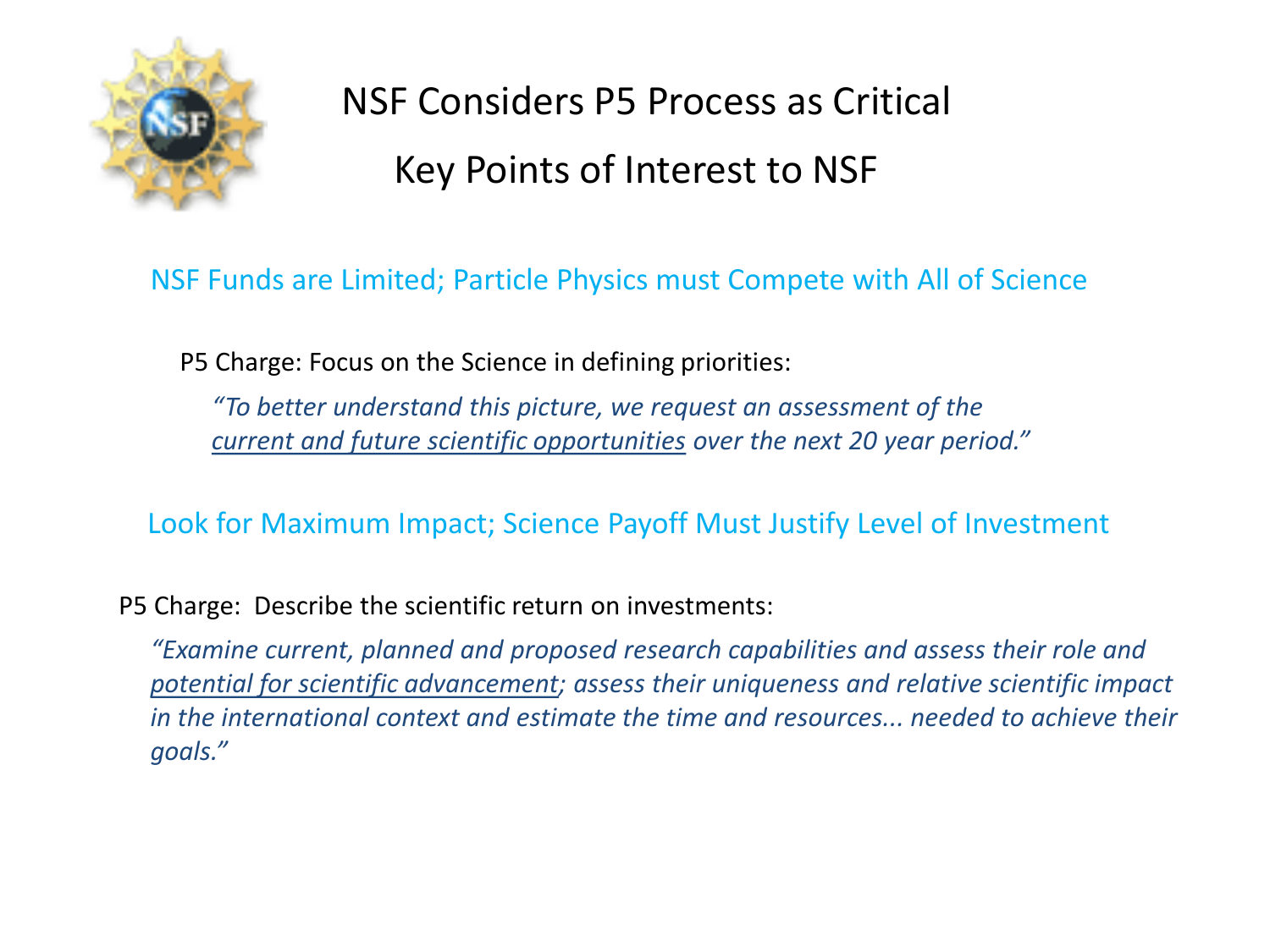

# NSF Considers P5 Process as Critical Key Points of Interest to NSF

#### NSF Funds are Limited; Particle Physics must Compete with All of Science

P5 Charge: Focus on the Science in defining priorities:

*"To better understand this picture, we request an assessment of the current and future scientific opportunities over the next 20 year period."*

Look for Maximum Impact; Science Payoff Must Justify Level of Investment

P5 Charge: Describe the scientific return on investments:

*"Examine current, planned and proposed research capabilities and assess their role and potential for scientific advancement; assess their uniqueness and relative scientific impact in the international context and estimate the time and resources... needed to achieve their goals."*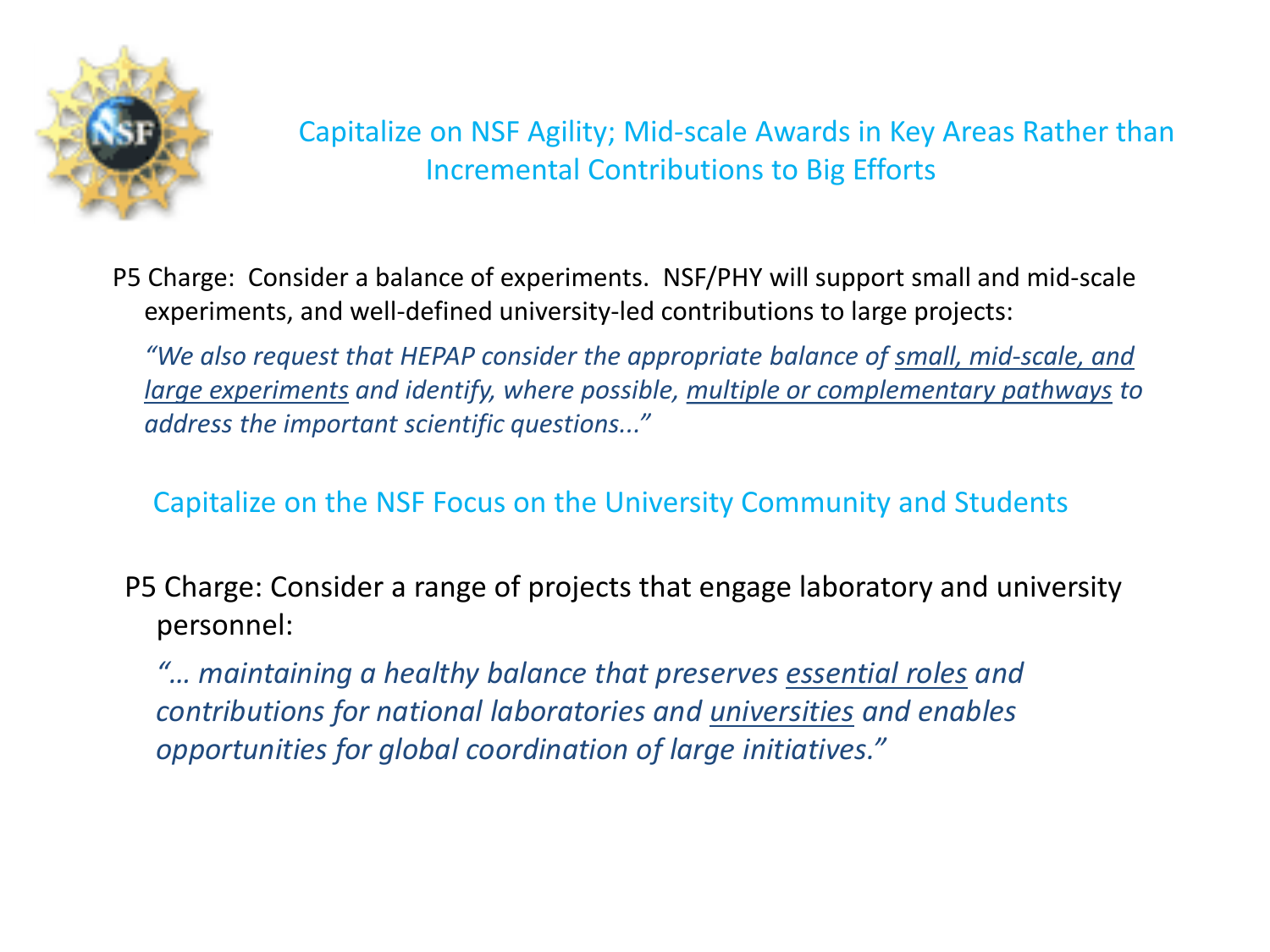

P5 Charge: Consider a balance of experiments. NSF/PHY will support small and mid-scale experiments, and well-defined university-led contributions to large projects:

*"We also request that HEPAP consider the appropriate balance of small, mid-scale, and large experiments and identify, where possible, multiple or complementary pathways to address the important scientific questions..."*

#### Capitalize on the NSF Focus on the University Community and Students

P5 Charge: Consider a range of projects that engage laboratory and university personnel:

*"… maintaining a healthy balance that preserves essential roles and contributions for national laboratories and universities and enables opportunities for global coordination of large initiatives."*